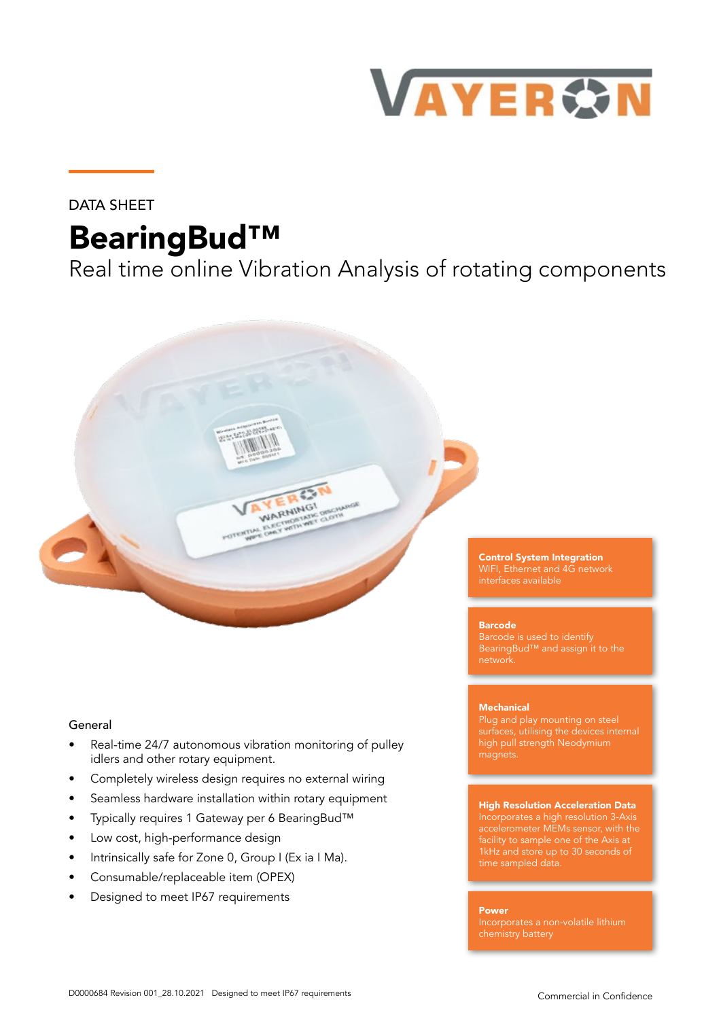

## DATA SHEET

# BearingBud™

Real time online Vibration Analysis of rotating components



### General

- Real-time 24/7 autonomous vibration monitoring of pulley idlers and other rotary equipment.
- Completely wireless design requires no external wiring
- Seamless hardware installation within rotary equipment
- Typically requires 1 Gateway per 6 BearingBud™
- Low cost, high-performance design
- Intrinsically safe for Zone 0, Group I (Ex ia I Ma).
- Consumable/replaceable item (OPEX)
- Designed to meet IP67 requirements

Control System Integration WIFI, Ethernet and 4G network

#### Barcode

BearingBud™ and assign it to the network.

#### **Mechanical**

Plug and play mounting on steel surfaces, utilising the devices internal high pull strength Neodymium magnets.

#### High Resolution Acceleration Data

Incorporates a high resolution 3-Axis accelerometer MEMs sensor, with the facility to sample one of the Axis at 1kHz and store up to 30 seconds of

#### Power

chemistry battery